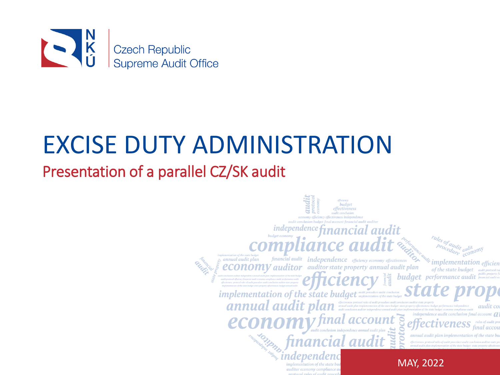

# EXCISE DUTY ADMINISTRATION

### Presentation of a parallel CZ/SK audit

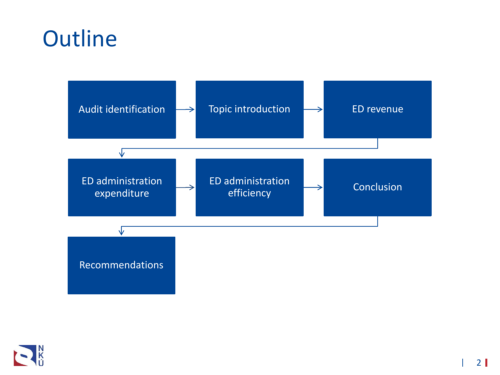# **Outline**



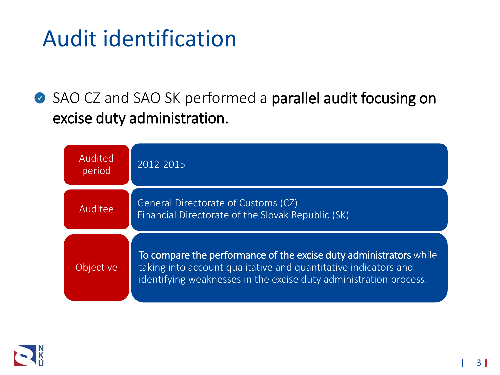# Audit identification

SAO CZ and SAO SK performed a parallel audit focusing on excise duty administration.



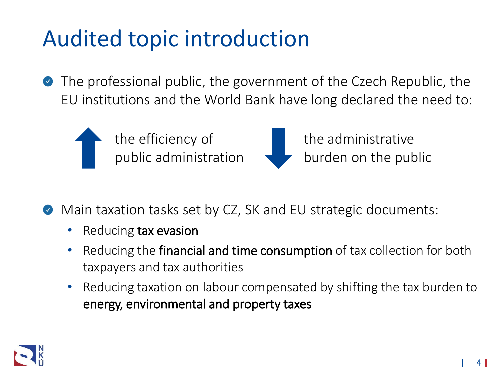# Audited topic introduction

The professional public, the government of the Czech Republic, the  $\bullet$ EU institutions and the World Bank have long declared the need to:



the efficiency of public administration



the administrative burden on the public

- Main taxation tasks set by CZ, SK and EU strategic documents:
	- Reducing tax evasion
	- Reducing the financial and time consumption of tax collection for both taxpayers and tax authorities
	- Reducing taxation on labour compensated by shifting the tax burden to energy, environmental and property taxes

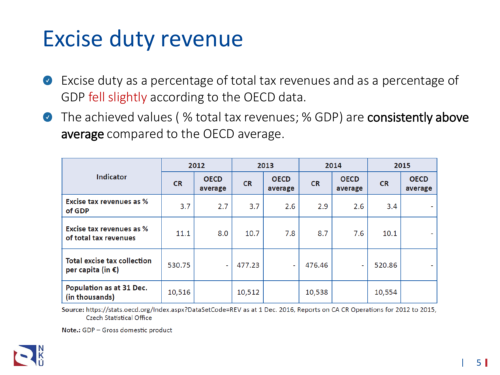## Excise duty revenue

- ◆ Excise duty as a percentage of total tax revenues and as a percentage of GDP fell slightly according to the OECD data.
- The achieved values (% total tax revenues; % GDP) are consistently above average compared to the OECD average.

| <b>Indicator</b>                                        | 2012      |                        | 2013      |                        | 2014      |                        | 2015      |                        |
|---------------------------------------------------------|-----------|------------------------|-----------|------------------------|-----------|------------------------|-----------|------------------------|
|                                                         | <b>CR</b> | <b>OECD</b><br>average | <b>CR</b> | <b>OECD</b><br>average | <b>CR</b> | <b>OECD</b><br>average | <b>CR</b> | <b>OECD</b><br>average |
| <b>Excise tax revenues as %</b><br>of GDP               | 3.7       | 2.7                    | 3.7       | 2.6                    | 2.9       | 2.6                    | 3.4       |                        |
| Excise tax revenues as %<br>of total tax revenues       | 11.1      | 8.0                    | 10.7      | 7.8                    | 8.7       | 7.6                    | 10.1      |                        |
| <b>Total excise tax collection</b><br>per capita (in €) | 530.75    |                        | 477.23    | ÷                      | 476.46    |                        | 520.86    |                        |
| Population as at 31 Dec.<br>(in thousands)              | 10,516    |                        | 10,512    |                        | 10,538    |                        | 10,554    |                        |

Source: https://stats.oecd.org/Index.aspx?DataSetCode=REV as at 1 Dec. 2016, Reports on CA CR Operations for 2012 to 2015, **Czech Statistical Office** 

Note.: GDP - Gross domestic product

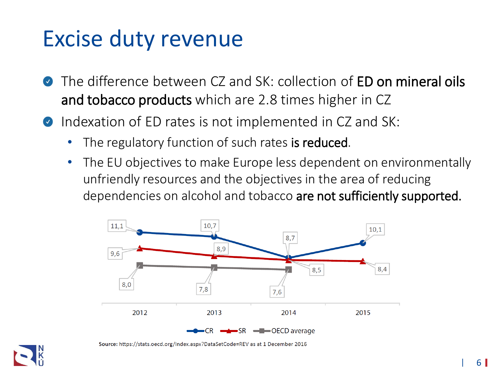## Excise duty revenue

- The difference between CZ and SK: collection of **ED on mineral oils**  $\bullet$ and tobacco products which are 2.8 times higher in CZ
- Indexation of ED rates is not implemented in CZ and SK:  $\bullet$ 
	- The regulatory function of such rates is reduced.
	- The EU objectives to make Europe less dependent on environmentally unfriendly resources and the objectives in the area of reducing dependencies on alcohol and tobacco are not sufficiently supported.



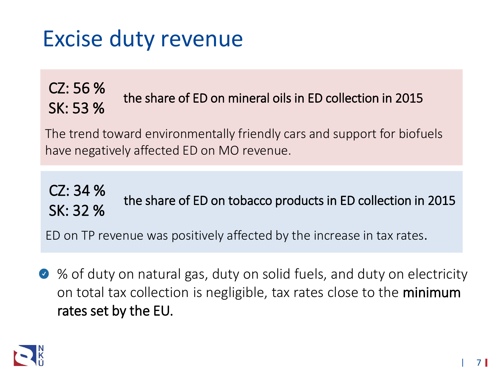# Excise duty revenue

### CZ: 56 % SK: 53 % the share of ED on mineral oils in ED collection in 2015<br>SK: 53 %

The trend toward environmentally friendly cars and support for biofuels have negatively affected ED on MO revenue.

### CZ: 34 % SE: 5: 22<br>SK: 32 % the share of ED on tobacco products in ED collection in 2015

ED on TP revenue was positively affected by the increase in tax rates.

◆ % of duty on natural gas, duty on solid fuels, and duty on electricity on total tax collection is negligible, tax rates close to the minimum rates set by the EU.

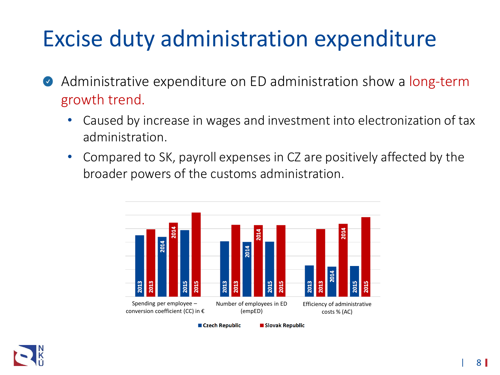# Excise duty administration expenditure

- Administrative expenditure on ED administration show a long-term  $\bullet$ growth trend.
	- Caused by increase in wages and investment into electronization of tax administration.
	- Compared to SK, payroll expenses in CZ are positively affected by the broader powers of the customs administration.



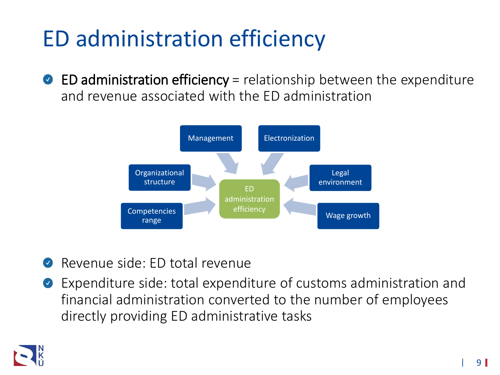# ED administration efficiency

 $\bullet$  ED administration efficiency = relationship between the expenditure and revenue associated with the ED administration



- Revenue side: ED total revenue
- Expenditure side: total expenditure of customs administration and  $\bullet$ financial administration converted to the number of employees directly providing ED administrative tasks

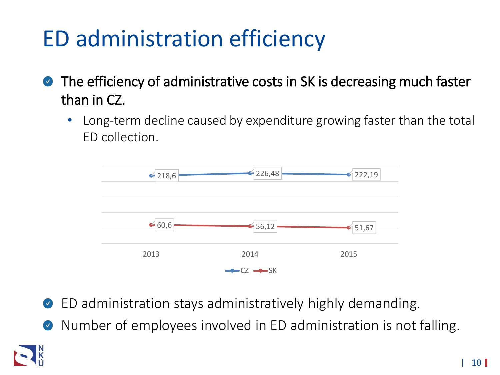# ED administration efficiency

- The efficiency of administrative costs in SK is decreasing much faster  $\bullet$ than in CZ.
	- Long-term decline caused by expenditure growing faster than the total ED collection.



- ED administration stays administratively highly demanding.  $\bullet$
- Number of employees involved in ED administration is not falling.  $\bullet$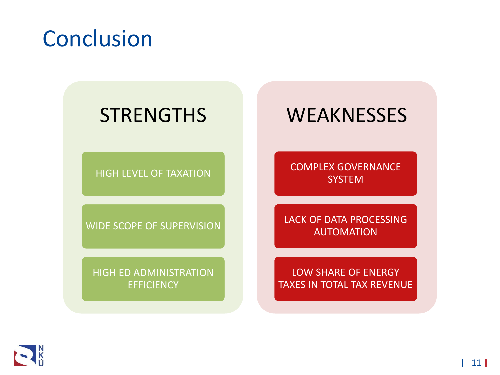# Conclusion

## **STRENGTHS**

HIGH LEVEL OF TAXATION

WIDE SCOPE OF SUPERVISION

HIGH ED ADMINISTRATION **EFFICIENCY** 

### **WEAKNESSES**

COMPLEX GOVERNANCE **SYSTEM** 

LACK OF DATA PROCESSING AUTOMATION

LOW SHARE OF ENERGY TAXES IN TOTAL TAX REVENUE

 $\mathbf{R}$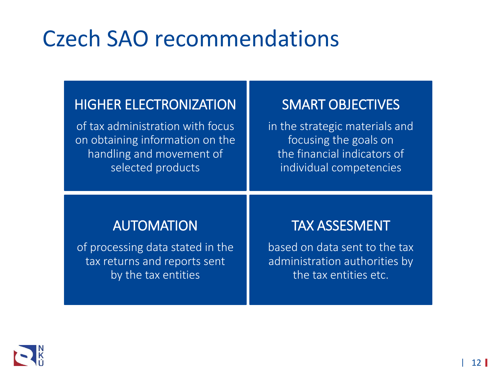# Czech SAO recommendations

#### HIGHER ELECTRONIZATION

of tax administration with focus on obtaining information on the handling and movement of selected products

#### SMART OBJECTIVES

in the strategic materials and focusing the goals on the financial indicators of individual competencies

#### AUTOMATION

of processing data stated in the tax returns and reports sent by the tax entities

#### TAX ASSESMENT

based on data sent to the tax administration authorities by the tax entities etc.